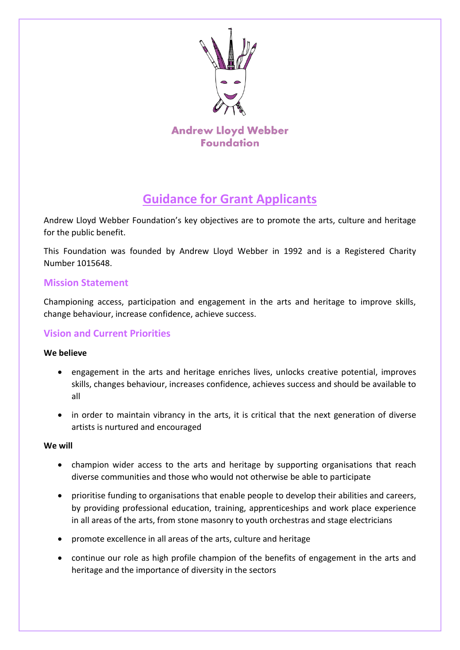

**Andrew Lloyd Webber Foundation** 

# **Guidance for Grant Applicants**

Andrew Lloyd Webber Foundation's key objectives are to promote the arts, culture and heritage for the public benefit.

This Foundation was founded by Andrew Lloyd Webber in 1992 and is a Registered Charity Number 1015648.

# **Mission Statement**

Championing access, participation and engagement in the arts and heritage to improve skills, change behaviour, increase confidence, achieve success.

# **Vision and Current Priorities**

### **We believe**

- engagement in the arts and heritage enriches lives, unlocks creative potential, improves skills, changes behaviour, increases confidence, achieves success and should be available to all
- in order to maintain vibrancy in the arts, it is critical that the next generation of diverse artists is nurtured and encouraged

#### **We will**

- champion wider access to the arts and heritage by supporting organisations that reach diverse communities and those who would not otherwise be able to participate
- prioritise funding to organisations that enable people to develop their abilities and careers, by providing professional education, training, apprenticeships and work place experience in all areas of the arts, from stone masonry to youth orchestras and stage electricians
- promote excellence in all areas of the arts, culture and heritage
- continue our role as high profile champion of the benefits of engagement in the arts and heritage and the importance of diversity in the sectors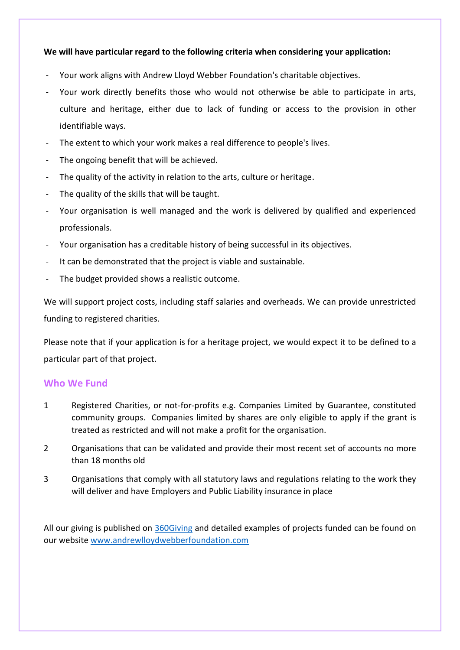#### **We will have particular regard to the following criteria when considering your application:**

- Your work aligns with Andrew Lloyd Webber Foundation's charitable objectives.
- Your work directly benefits those who would not otherwise be able to participate in arts, culture and heritage, either due to lack of funding or access to the provision in other identifiable ways.
- The extent to which your work makes a real difference to people's lives.
- The ongoing benefit that will be achieved.
- The quality of the activity in relation to the arts, culture or heritage.
- The quality of the skills that will be taught.
- Your organisation is well managed and the work is delivered by qualified and experienced professionals.
- Your organisation has a creditable history of being successful in its objectives.
- It can be demonstrated that the project is viable and sustainable.
- The budget provided shows a realistic outcome.

We will support project costs, including staff salaries and overheads. We can provide unrestricted funding to registered charities.

Please note that if your application is for a heritage project, we would expect it to be defined to a particular part of that project.

#### **Who We Fund**

- 1 Registered Charities, or not-for-profits e.g. Companies Limited by Guarantee, constituted community groups. Companies limited by shares are only eligible to apply if the grant is treated as restricted and will not make a profit for the organisation.
- 2 Organisations that can be validated and provide their most recent set of accounts no more than 18 months old
- 3 Organisations that comply with all statutory laws and regulations relating to the work they will deliver and have Employers and Public Liability insurance in place

All our giving is published on [360Giving](https://insights.threesixtygiving.org/file/a003W000001B7PzQAK) and detailed examples of projects funded can be found on our website [www.andrewlloydwebberfoundation.com](http://www.andrewlloydwebberfoundation.com/)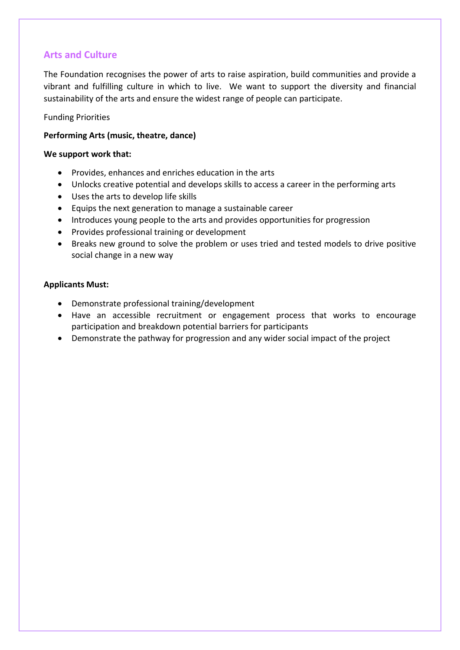# **Arts and Culture**

The Foundation recognises the power of arts to raise aspiration, build communities and provide a vibrant and fulfilling culture in which to live. We want to support the diversity and financial sustainability of the arts and ensure the widest range of people can participate.

#### Funding Priorities

#### **Performing Arts (music, theatre, dance)**

#### **We support work that:**

- Provides, enhances and enriches education in the arts
- Unlocks creative potential and develops skills to access a career in the performing arts
- Uses the arts to develop life skills
- Equips the next generation to manage a sustainable career
- Introduces young people to the arts and provides opportunities for progression
- Provides professional training or development
- Breaks new ground to solve the problem or uses tried and tested models to drive positive social change in a new way

#### **Applicants Must:**

- Demonstrate professional training/development
- Have an accessible recruitment or engagement process that works to encourage participation and breakdown potential barriers for participants
- Demonstrate the pathway for progression and any wider social impact of the project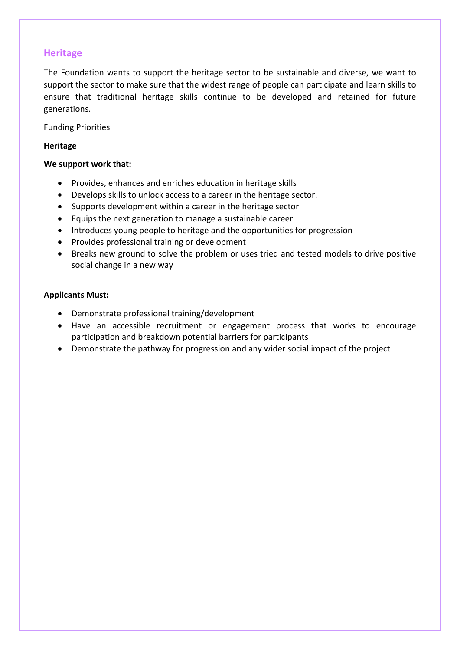## **Heritage**

The Foundation wants to support the heritage sector to be sustainable and diverse, we want to support the sector to make sure that the widest range of people can participate and learn skills to ensure that traditional heritage skills continue to be developed and retained for future generations.

Funding Priorities

#### **Heritage**

#### **We support work that:**

- Provides, enhances and enriches education in heritage skills
- Develops skills to unlock access to a career in the heritage sector.
- Supports development within a career in the heritage sector
- Equips the next generation to manage a sustainable career
- Introduces young people to heritage and the opportunities for progression
- Provides professional training or development
- Breaks new ground to solve the problem or uses tried and tested models to drive positive social change in a new way

#### **Applicants Must:**

- Demonstrate professional training/development
- Have an accessible recruitment or engagement process that works to encourage participation and breakdown potential barriers for participants
- Demonstrate the pathway for progression and any wider social impact of the project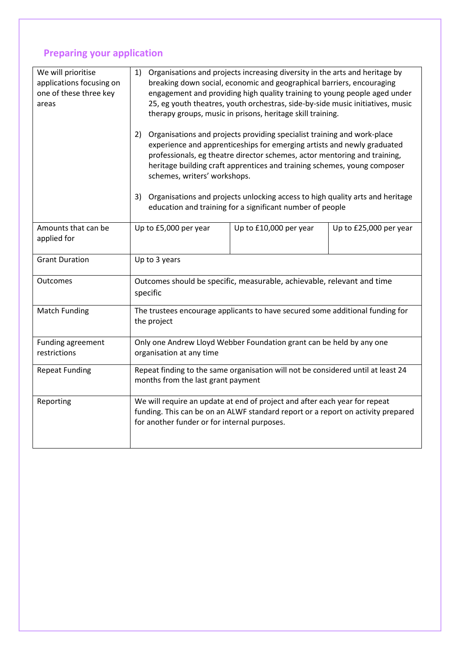# **Preparing your application**

| We will prioritise<br>applications focusing on<br>one of these three key<br>areas | Organisations and projects increasing diversity in the arts and heritage by<br>1)<br>breaking down social, economic and geographical barriers, encouraging<br>engagement and providing high quality training to young people aged under<br>25, eg youth theatres, youth orchestras, side-by-side music initiatives, music<br>therapy groups, music in prisons, heritage skill training.<br>Organisations and projects providing specialist training and work-place<br>2)<br>experience and apprenticeships for emerging artists and newly graduated<br>professionals, eg theatre director schemes, actor mentoring and training,<br>heritage building craft apprentices and training schemes, young composer<br>schemes, writers' workshops.<br>3)<br>Organisations and projects unlocking access to high quality arts and heritage<br>education and training for a significant number of people |                        |                        |
|-----------------------------------------------------------------------------------|--------------------------------------------------------------------------------------------------------------------------------------------------------------------------------------------------------------------------------------------------------------------------------------------------------------------------------------------------------------------------------------------------------------------------------------------------------------------------------------------------------------------------------------------------------------------------------------------------------------------------------------------------------------------------------------------------------------------------------------------------------------------------------------------------------------------------------------------------------------------------------------------------|------------------------|------------------------|
|                                                                                   |                                                                                                                                                                                                                                                                                                                                                                                                                                                                                                                                                                                                                                                                                                                                                                                                                                                                                                  |                        |                        |
|                                                                                   |                                                                                                                                                                                                                                                                                                                                                                                                                                                                                                                                                                                                                                                                                                                                                                                                                                                                                                  |                        |                        |
| Amounts that can be<br>applied for                                                | Up to £5,000 per year                                                                                                                                                                                                                                                                                                                                                                                                                                                                                                                                                                                                                                                                                                                                                                                                                                                                            | Up to £10,000 per year | Up to £25,000 per year |
| <b>Grant Duration</b>                                                             | Up to 3 years                                                                                                                                                                                                                                                                                                                                                                                                                                                                                                                                                                                                                                                                                                                                                                                                                                                                                    |                        |                        |
| Outcomes                                                                          | Outcomes should be specific, measurable, achievable, relevant and time<br>specific                                                                                                                                                                                                                                                                                                                                                                                                                                                                                                                                                                                                                                                                                                                                                                                                               |                        |                        |
| <b>Match Funding</b>                                                              | The trustees encourage applicants to have secured some additional funding for<br>the project                                                                                                                                                                                                                                                                                                                                                                                                                                                                                                                                                                                                                                                                                                                                                                                                     |                        |                        |
| Funding agreement<br>restrictions                                                 | Only one Andrew Lloyd Webber Foundation grant can be held by any one<br>organisation at any time                                                                                                                                                                                                                                                                                                                                                                                                                                                                                                                                                                                                                                                                                                                                                                                                 |                        |                        |
| <b>Repeat Funding</b>                                                             | Repeat finding to the same organisation will not be considered until at least 24<br>months from the last grant payment                                                                                                                                                                                                                                                                                                                                                                                                                                                                                                                                                                                                                                                                                                                                                                           |                        |                        |
| Reporting                                                                         | We will require an update at end of project and after each year for repeat<br>funding. This can be on an ALWF standard report or a report on activity prepared<br>for another funder or for internal purposes.                                                                                                                                                                                                                                                                                                                                                                                                                                                                                                                                                                                                                                                                                   |                        |                        |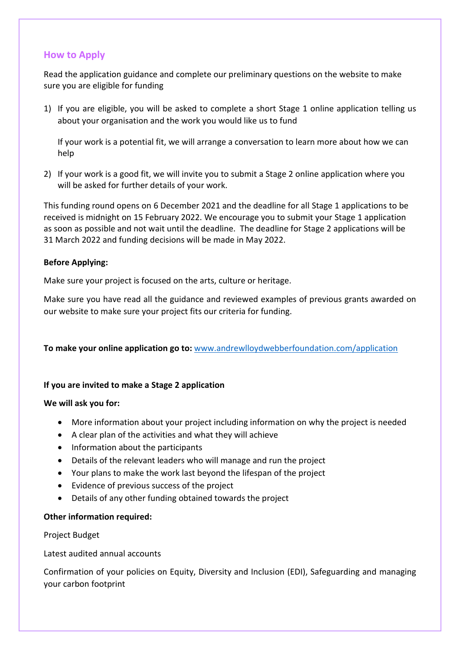## **How to Apply**

Read the application guidance and complete our preliminary questions on the website to make sure you are eligible for funding

1) If you are eligible, you will be asked to complete a short Stage 1 online application telling us about your organisation and the work you would like us to fund

If your work is a potential fit, we will arrange a conversation to learn more about how we can help

2) If your work is a good fit, we will invite you to submit a Stage 2 online application where you will be asked for further details of your work.

This funding round opens on 6 December 2021 and the deadline for all Stage 1 applications to be received is midnight on 15 February 2022. We encourage you to submit your Stage 1 application as soon as possible and not wait until the deadline. The deadline for Stage 2 applications will be 31 March 2022 and funding decisions will be made in May 2022.

#### **Before Applying:**

Make sure your project is focused on the arts, culture or heritage.

Make sure you have read all the guidance and reviewed examples of previous grants awarded on our website to make sure your project fits our criteria for funding.

**To make your online application go to:** [www.andrewlloydwebberfoundation.com/application](http://www.andrewlloydwebberfoundation.com/application)

#### **If you are invited to make a Stage 2 application**

#### **We will ask you for:**

- More information about your project including information on why the project is needed
- A clear plan of the activities and what they will achieve
- Information about the participants
- Details of the relevant leaders who will manage and run the project
- Your plans to make the work last beyond the lifespan of the project
- Evidence of previous success of the project
- Details of any other funding obtained towards the project

#### **Other information required:**

#### Project Budget

Latest audited annual accounts

Confirmation of your policies on Equity, Diversity and Inclusion (EDI), Safeguarding and managing your carbon footprint